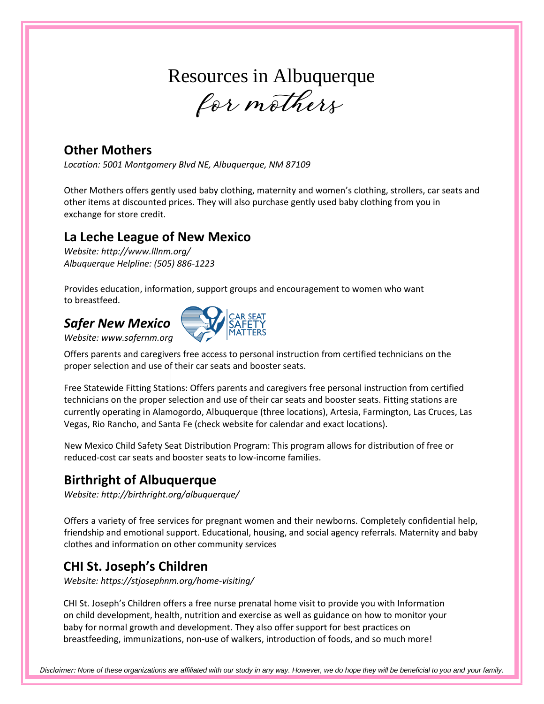# Resources in Albuquerque

for mothers

#### **Other Mothers**

*Location: 5001 Montgomery Blvd NE, Albuquerque, NM 87109*

Other Mothers offers gently used baby clothing, maternity and women's clothing, strollers, car seats and other items at discounted prices. They will also purchase gently used baby clothing from you in exchange for store credit.

#### **La Leche League of New Mexico**

*Website:<http://www.lllnm.org/> Albuquerque Helpline: (505) 886-1223*

Provides education, information, support groups and encouragement to women who want to breastfeed.

## *Safer New Mexico*



*Website: [www.safernm.org](http://www.safernm.org/)*

Offers parents and caregivers free access to personal instruction from certified technicians on the proper selection and use of their car seats and booster seats.

Free Statewide Fitting Stations: Offers parents and caregivers free personal instruction from certified technicians on the proper selection and use of their car seats and booster seats. Fitting stations are currently operating in Alamogordo, Albuquerque (three locations), Artesia, Farmington, Las Cruces, Las Vegas, Rio Rancho, and Santa Fe (check website for calendar and exact locations).

New Mexico Child Safety Seat Distribution Program: This program allows for distribution of free or reduced-cost car seats and booster seats to low-income families.

### **Birthright of Albuquerque**

*Website:<http://birthright.org/albuquerque/>*

Offers a variety of free services for pregnant women and their newborns. Completely confidential help, friendship and emotional support. Educational, housing, and social agency referrals. Maternity and baby clothes and information on other community services

## **CHI St. Joseph's Children**

*Website: https://stjosephnm.org/home-visiting/*

CHI St. Joseph's Children offers a free nurse prenatal home visit to provide you with Information on child development, health, nutrition and exercise as well as guidance on how to monitor your baby for normal growth and development. They also offer support for best practices on breastfeeding, immunizations, non-use of walkers, introduction of foods, and so much more!

*Disclaimer: None of these organizations are affiliated with our study in any way. However, we do hope they will be beneficial to you and your family.*